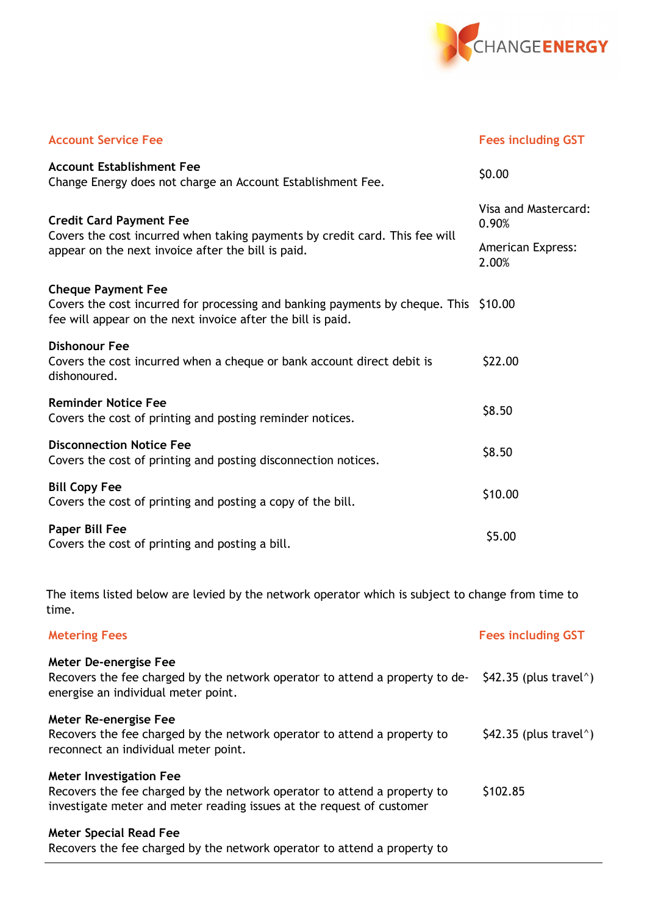

| <b>Account Service Fee</b>                                                                                                                                                       | <b>Fees including GST</b>     |  |
|----------------------------------------------------------------------------------------------------------------------------------------------------------------------------------|-------------------------------|--|
| <b>Account Establishment Fee</b><br>Change Energy does not charge an Account Establishment Fee.                                                                                  | \$0.00                        |  |
| <b>Credit Card Payment Fee</b><br>Covers the cost incurred when taking payments by credit card. This fee will<br>appear on the next invoice after the bill is paid.              | Visa and Mastercard:<br>0.90% |  |
|                                                                                                                                                                                  | American Express:<br>2.00%    |  |
| <b>Cheque Payment Fee</b><br>Covers the cost incurred for processing and banking payments by cheque. This \$10.00<br>fee will appear on the next invoice after the bill is paid. |                               |  |
| <b>Dishonour Fee</b><br>Covers the cost incurred when a cheque or bank account direct debit is<br>dishonoured.                                                                   | \$22.00                       |  |
| <b>Reminder Notice Fee</b><br>Covers the cost of printing and posting reminder notices.                                                                                          | \$8.50                        |  |
| <b>Disconnection Notice Fee</b><br>Covers the cost of printing and posting disconnection notices.                                                                                | \$8.50                        |  |
| <b>Bill Copy Fee</b><br>Covers the cost of printing and posting a copy of the bill.                                                                                              | \$10.00                       |  |
| <b>Paper Bill Fee</b><br>Covers the cost of printing and posting a bill.                                                                                                         | \$5.00                        |  |
| The items listed below are levied by the network operator which is subject to change from time to<br>time.                                                                       |                               |  |
| <b>Metering Fees</b>                                                                                                                                                             | <b>Fees including GST</b>     |  |
| <b>Meter De-energise Fee</b>                                                                                                                                                     |                               |  |

Recovers the fee charged by the network operator to attend a property to de-  $$42.35$  (plus travel^) energise an individual meter point.

Meter Re-energise Fee

| Recovers the fee charged by the network operator to attend a property to | $$42.35$ (plus travel <sup>^</sup> ) |
|--------------------------------------------------------------------------|--------------------------------------|
| reconnect an individual meter point.                                     |                                      |

Meter Investigation Fee Recovers the fee charged by the network operator to attend a property to investigate meter and meter reading issues at the request of customer \$102.85

## Meter Special Read Fee

Recovers the fee charged by the network operator to attend a property to